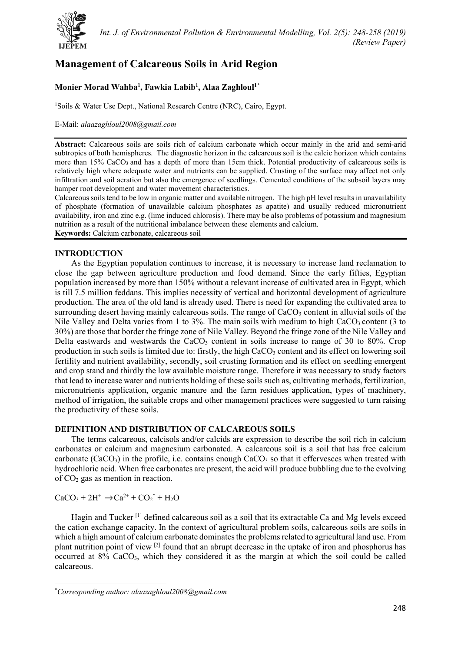

# **Management of Calcareous Soils in Arid Region**

## **Monier Morad Wahba1 , Fawkia Labib1 , Alaa Zaghloul1[\\*](#page-0-0)**

<sup>1</sup>Soils & Water Use Dept., National Research Centre (NRC), Cairo, Egypt.

## E-Mail: *alaazaghloul2008@gmail.com*

**Abstract:** Calcareous soils are soils rich of calcium carbonate which occur mainly in the arid and semi-arid subtropics of both hemispheres. The diagnostic horizon in the calcareous soil is the calcic horizon which contains more than 15% CaCO<sub>3</sub> and has a depth of more than 15cm thick. Potential productivity of calcareous soils is relatively high where adequate water and nutrients can be supplied. Crusting of the surface may affect not only infiltration and soil aeration but also the emergence of seedlings. Cemented conditions of the subsoil layers may hamper root development and water movement characteristics.

Calcareous soils tend to be low in organic matter and available nitrogen. The high pH level results in unavailability of phosphate (formation of unavailable calcium phosphates as apatite) and usually reduced micronutrient availability, iron and zinc e.g. (lime induced chlorosis). There may be also problems of potassium and magnesium nutrition as a result of the nutritional imbalance between these elements and calcium.

**Keywords:** Calcium carbonate, calcareous soil

## **INTRODUCTION**

As the Egyptian population continues to increase, it is necessary to increase land reclamation to close the gap between agriculture production and food demand. Since the early fifties, Egyptian population increased by more than 150% without a relevant increase of cultivated area in Egypt, which is till 7.5 million feddans. This implies necessity of vertical and horizontal development of agriculture production. The area of the old land is already used. There is need for expanding the cultivated area to surrounding desert having mainly calcareous soils. The range of  $CaCO<sub>3</sub>$  content in alluvial soils of the Nile Valley and Delta varies from 1 to 3%. The main soils with medium to high CaCO<sub>3</sub> content (3 to 30%) are those that border the fringe zone of Nile Valley. Beyond the fringe zone of the Nile Valley and Delta eastwards and westwards the CaCO<sub>3</sub> content in soils increase to range of 30 to 80%. Crop production in such soils is limited due to: firstly, the high  $CaCO<sub>3</sub>$  content and its effect on lowering soil fertility and nutrient availability, secondly, soil crusting formation and its effect on seedling emergent and crop stand and thirdly the low available moisture range. Therefore it was necessary to study factors that lead to increase water and nutrients holding of these soils such as, cultivating methods, fertilization, micronutrients application, organic manure and the farm residues application, types of machinery, method of irrigation, the suitable crops and other management practices were suggested to turn raising the productivity of these soils.

## **DEFINITION AND DISTRIBUTION OF CALCAREOUS SOILS**

The terms calcareous, calcisols and/or calcids are expression to describe the soil rich in calcium carbonates or calcium and magnesium carbonated. A calcareous soil is a soil that has free calcium carbonate (CaCO<sub>3</sub>) in the profile, i.e. contains enough CaCO<sub>3</sub> so that it effervesces when treated with hydrochloric acid. When free carbonates are present, the acid will produce bubbling due to the evolving of  $CO<sub>2</sub>$  gas as mention in reaction.

 $CaCO<sub>3</sub> + 2H<sup>+</sup> \rightarrow Ca<sup>2+</sup> + CO<sub>2</sub><sup>†</sup> + H<sub>2</sub>O$ 

Hagin and Tucker<sup>[1]</sup> defined calcareous soil as a soil that its extractable Ca and Mg levels exceed the cation exchange capacity. In the context of agricultural problem soils, calcareous soils are soils in which a high amount of calcium carbonate dominates the problems related to agricultural land use. From plant nutrition point of view  $^{[2]}$  found that an abrupt decrease in the uptake of iron and phosphorus has occurred at 8% CaCO3, which they considered it as the margin at which the soil could be called calcareous.

<span id="page-0-0"></span><sup>\*</sup> *Corresponding author: alaazaghloul2008@gmail.com*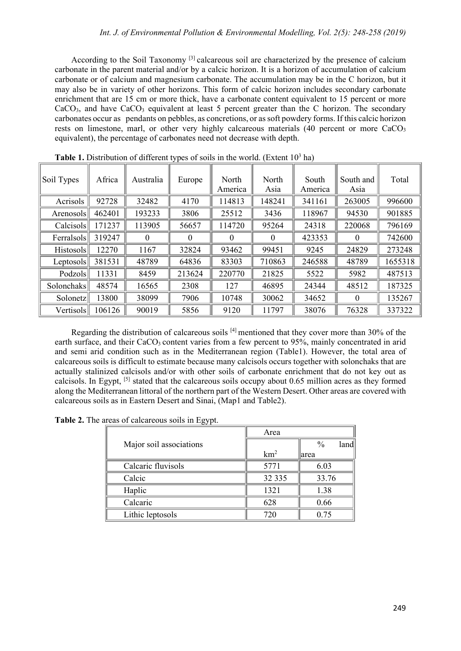According to the Soil Taxonomy [3] calcareous soil are characterized by the presence of calcium carbonate in the parent material and/or by a calcic horizon. It is a horizon of accumulation of calcium carbonate or of calcium and magnesium carbonate. The accumulation may be in the C horizon, but it may also be in variety of other horizons. This form of calcic horizon includes secondary carbonate enrichment that are 15 cm or more thick, have a carbonate content equivalent to 15 percent or more  $CaCO<sub>3</sub>$ , and have  $CaCO<sub>3</sub>$  equivalent at least 5 percent greater than the C horizon. The secondary carbonates occur as pendants on pebbles, as concretions, or as soft powdery forms. If this calcic horizon rests on limestone, marl, or other very highly calcareous materials  $(40)$  percent or more CaCO<sub>3</sub> equivalent), the percentage of carbonates need not decrease with depth.

| Soil Types   | Africa | Australia | Europe   | North<br>America | North<br>Asia | South<br>America | South and<br>Asia | Total   |
|--------------|--------|-----------|----------|------------------|---------------|------------------|-------------------|---------|
| Acrisols     | 92728  | 32482     | 4170     | 114813           | 148241        | 341161           | 263005            | 996600  |
| Arenosols    | 462401 | 193233    | 3806     | 25512            | 3436          | 118967           | 94530             | 901885  |
| Calcisols    | 171237 | 113905    | 56657    | 114720           | 95264         | 24318            | 220068            | 796169  |
| Ferralsols   | 319247 | $\theta$  | $\Omega$ | $\Omega$         | $\Omega$      | 423353           | 0                 | 742600  |
| Histosols    | 12270  | 1167      | 32824    | 93462            | 99451         | 9245             | 24829             | 273248  |
| $L$ eptosols | 381531 | 48789     | 64836    | 83303            | 710863        | 246588           | 48789             | 1655318 |
| Podzols      | 11331  | 8459      | 213624   | 220770           | 21825         | 5522             | 5982              | 487513  |
| Solonchaks   | 48574  | 16565     | 2308     | 127              | 46895         | 24344            | 48512             | 187325  |
| Solonetz     | 13800  | 38099     | 7906     | 10748            | 30062         | 34652            | $\theta$          | 135267  |
| Vertisols    | 106126 | 90019     | 5856     | 9120             | 11797         | 38076            | 76328             | 337322  |

**Table 1.** Distribution of different types of soils in the world. (Extent  $10<sup>3</sup>$  ha)

Regarding the distribution of calcareous soils  $[4]$  mentioned that they cover more than 30% of the earth surface, and their CaCO<sub>3</sub> content varies from a few percent to 95%, mainly concentrated in arid and semi arid condition such as in the Mediterranean region (Table1). However, the total area of calcareous soils is difficult to estimate because many calcisols occurs together with solonchaks that are actually stalinized calcisols and/or with other soils of carbonate enrichment that do not key out as calcisols. In Egypt, [5] stated that the calcareous soils occupy about 0.65 million acres as they formed along the Mediterranean littoral of the northern part of the Western Desert. Other areas are covered with calcareous soils as in Eastern Desert and Sinai, (Map1 and Table2).

**Table 2.** The areas of calcareous soils in Egypt.

|                         | Area            |                        |  |
|-------------------------|-----------------|------------------------|--|
| Major soil associations |                 | $\frac{0}{0}$<br>landl |  |
|                         | km <sup>2</sup> | larea                  |  |
| Calcaric fluvisols      | 5771            | 6.03                   |  |
| Calcic                  | 32 335          | 33.76                  |  |
| Haplic                  | 1321            | 1.38                   |  |
| Calcaric                | 628             | 0.66                   |  |
| Lithic leptosols        | 720             | 0.75                   |  |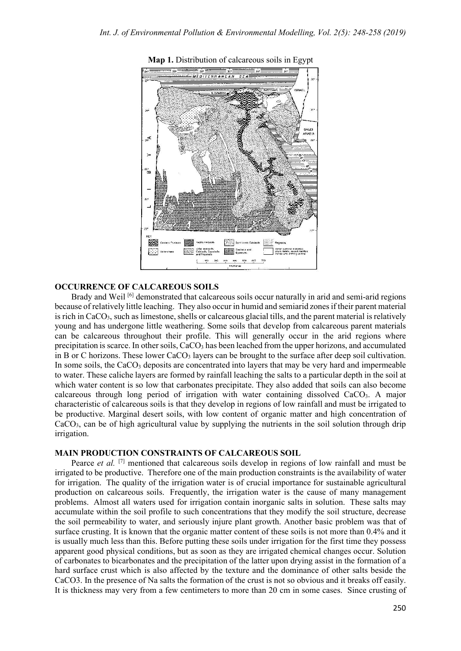

**Map 1.** Distribution of calcareous soils in Egypt

## **OCCURRENCE OF CALCAREOUS SOILS**

Brady and Weil [6] demonstrated that calcareous soils occur naturally in arid and semi-arid regions because of relatively little leaching. They also occur in humid and semiarid zones if their parent material is rich in  $CaCO<sub>3</sub>$ , such as limestone, shells or calcareous glacial tills, and the parent material is relatively young and has undergone little weathering. Some soils that develop from calcareous parent materials can be calcareous throughout their profile. This will generally occur in the arid regions where precipitation is scarce. In other soils,  $CaCO<sub>3</sub>$  has been leached from the upper horizons, and accumulated in B or C horizons. These lower  $CaCO<sub>3</sub>$  layers can be brought to the surface after deep soil cultivation. In some soils, the  $CaCO<sub>3</sub>$  deposits are concentrated into layers that may be very hard and impermeable to water. These caliche layers are formed by rainfall leaching the salts to a particular depth in the soil at which water content is so low that carbonates precipitate. They also added that soils can also become calcareous through long period of irrigation with water containing dissolved CaCO3. A major characteristic of calcareous soils is that they develop in regions of low rainfall and must be irrigated to be productive. Marginal desert soils, with low content of organic matter and high concentration of  $CaCO<sub>3</sub>$ , can be of high agricultural value by supplying the nutrients in the soil solution through drip irrigation.

## **MAIN PRODUCTION CONSTRAINTS OF CALCAREOUS SOIL**

Pearce *et al.* <sup>[7]</sup> mentioned that calcareous soils develop in regions of low rainfall and must be irrigated to be productive. Therefore one of the main production constraints is the availability of water for irrigation. The quality of the irrigation water is of crucial importance for sustainable agricultural production on calcareous soils. Frequently, the irrigation water is the cause of many management problems. Almost all waters used for irrigation contain inorganic salts in solution. These salts may accumulate within the soil profile to such concentrations that they modify the soil structure, decrease the soil permeability to water, and seriously injure plant growth. Another basic problem was that of surface crusting. It is known that the organic matter content of these soils is not more than 0.4% and it is usually much less than this. Before putting these soils under irrigation for the first time they possess apparent good physical conditions, but as soon as they are irrigated chemical changes occur. Solution of carbonates to bicarbonates and the precipitation of the latter upon drying assist in the formation of a hard surface crust which is also affected by the texture and the dominance of other salts beside the CaCO3. In the presence of Na salts the formation of the crust is not so obvious and it breaks off easily. It is thickness may very from a few centimeters to more than 20 cm in some cases. Since crusting of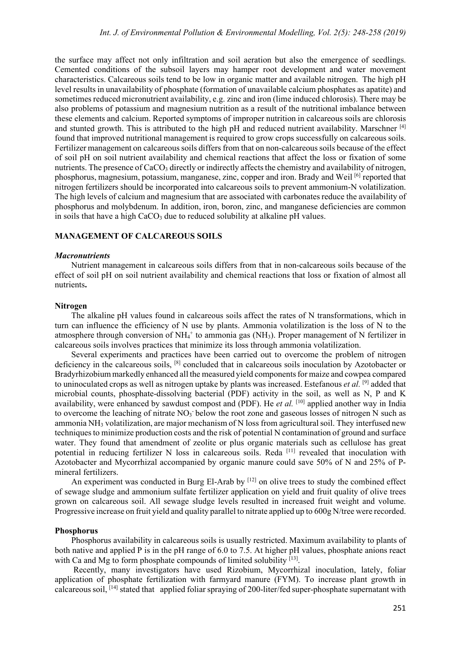the surface may affect not only infiltration and soil aeration but also the emergence of seedlings. Cemented conditions of the subsoil layers may hamper root development and water movement characteristics. Calcareous soils tend to be low in organic matter and available nitrogen. The high pH level results in unavailability of phosphate (formation of unavailable calcium phosphates as apatite) and sometimes reduced micronutrient availability, e.g. zinc and iron (lime induced chlorosis). There may be also problems of potassium and magnesium nutrition as a result of the nutritional imbalance between these elements and calcium. Reported symptoms of improper nutrition in calcareous soils are chlorosis and stunted growth. This is attributed to the high pH and reduced nutrient availability. Marschner [4] found that improved nutritional management is required to grow crops successfully on calcareous soils. Fertilizer management on calcareous soils differs from that on non-calcareous soils because of the effect of soil pH on soil nutrient availability and chemical reactions that affect the loss or fixation of some nutrients. The presence of CaCO<sub>3</sub> directly or indirectly affects the chemistry and availability of nitrogen, phosphorus, magnesium, potassium, manganese, zinc, copper and iron. Brady and Weil [6] reported that nitrogen fertilizers should be incorporated into calcareous soils to prevent ammonium-N volatilization. The high levels of calcium and magnesium that are associated with carbonates reduce the availability of phosphorus and molybdenum. In addition, iron, boron, zinc, and manganese deficiencies are common in soils that have a high  $CaCO<sub>3</sub>$  due to reduced solubility at alkaline pH values.

## **MANAGEMENT OF CALCAREOUS SOILS**

#### *Macronutrients*

Nutrient management in calcareous soils differs from that in non-calcareous soils because of the effect of soil pH on soil nutrient availability and chemical reactions that loss or fixation of almost all nutrients**.** 

#### **Nitrogen**

The alkaline pH values found in calcareous soils affect the rates of N transformations, which in turn can influence the efficiency of N use by plants. Ammonia volatilization is the loss of N to the atmosphere through conversion of  $NH<sub>4</sub><sup>+</sup>$  to ammonia gas (NH<sub>3</sub>). Proper management of N fertilizer in calcareous soils involves practices that minimize its loss through ammonia volatilization.

Several experiments and practices have been carried out to overcome the problem of nitrogen deficiency in the calcareous soils, [8] concluded that in calcareous soils inoculation by Azotobacter or Bradyrhizobium markedly enhanced all the measured yield components for maize and cowpea compared to uninoculated crops as well as nitrogen uptake by plants was increased. Estefanous *et al.* [9] added that microbial counts, phosphate-dissolving bacterial (PDF) activity in the soil, as well as N, P and K availability, were enhanced by sawdust compost and (PDF). He *et al.* [10] applied another way in India to overcome the leaching of nitrate  $NO<sub>3</sub>$  below the root zone and gaseous losses of nitrogen N such as ammonia NH3 volatilization, are major mechanism of N loss from agricultural soil. They interfused new techniques to minimize production costs and the risk of potential N contamination of ground and surface water. They found that amendment of zeolite or plus organic materials such as cellulose has great potential in reducing fertilizer N loss in calcareous soils. Reda [11] revealed that inoculation with Azotobacter and Mycorrhizal accompanied by organic manure could save 50% of N and 25% of Pmineral fertilizers.

An experiment was conducted in Burg El-Arab by [12] on olive trees to study the combined effect of sewage sludge and ammonium sulfate fertilizer application on yield and fruit quality of olive trees grown on calcareous soil. All sewage sludge levels resulted in increased fruit weight and volume. Progressive increase on fruit yield and quality parallel to nitrate applied up to 600g N/tree were recorded.

#### **Phosphorus**

Phosphorus availability in calcareous soils is usually restricted. Maximum availability to plants of both native and applied P is in the pH range of 6.0 to 7.5. At higher pH values, phosphate anions react with Ca and Mg to form phosphate compounds of limited solubility [13].

Recently, many investigators have used Rizobium, Mycorrhizal inoculation, lately, foliar application of phosphate fertilization with farmyard manure (FYM). To increase plant growth in calcareous soil, [14] stated that applied foliar spraying of 200-liter/fed super-phosphate supernatant with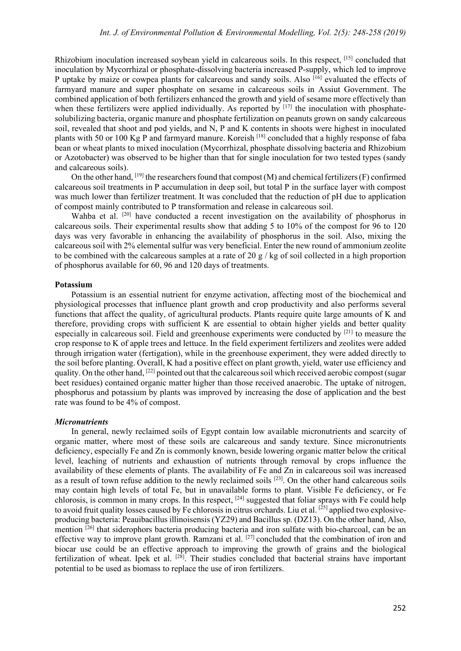Rhizobium inoculation increased soybean yield in calcareous soils. In this respect, [15] concluded that inoculation by Mycorrhizal or phosphate-dissolving bacteria increased P-supply, which led to improve P uptake by maize or cowpea plants for calcareous and sandy soils. Also <sup>[16]</sup> evaluated the effects of farmyard manure and super phosphate on sesame in calcareous soils in Assiut Government. The combined application of both fertilizers enhanced the growth and yield of sesame more effectively than when these fertilizers were applied individually. As reported by  $[17]$  the inoculation with phosphatesolubilizing bacteria, organic manure and phosphate fertilization on peanuts grown on sandy calcareous soil, revealed that shoot and pod yields, and N, P and K contents in shoots were highest in inoculated plants with 50 or 100 Kg P and farmyard manure. Koreish [18] concluded that a highly response of faba bean or wheat plants to mixed inoculation (Mycorrhizal, phosphate dissolving bacteria and Rhizobium or Azotobacter) was observed to be higher than that for single inoculation for two tested types (sandy and calcareous soils).

On the other hand,  $[19]$  the researchers found that compost (M) and chemical fertilizers (F) confirmed calcareous soil treatments in P accumulation in deep soil, but total P in the surface layer with compost was much lower than fertilizer treatment. It was concluded that the reduction of pH due to application of compost mainly contributed to P transformation and release in calcareous soil.

Wahba et al. <sup>[20]</sup> have conducted a recent investigation on the availability of phosphorus in calcareous soils. Their experimental results show that adding 5 to 10% of the compost for 96 to 120 days was very favorable in enhancing the availability of phosphorus in the soil. Also, mixing the calcareous soil with 2% elemental sulfur was very beneficial. Enter the new round of ammonium zeolite to be combined with the calcareous samples at a rate of 20 g / kg of soil collected in a high proportion of phosphorus available for 60, 96 and 120 days of treatments.

#### **Potassium**

Potassium is an essential nutrient for enzyme activation, affecting most of the biochemical and physiological processes that influence plant growth and crop productivity and also performs several functions that affect the quality, of agricultural products. Plants require quite large amounts of K and therefore, providing crops with sufficient K are essential to obtain higher yields and better quality especially in calcareous soil. Field and greenhouse experiments were conducted by [21] to measure the crop response to K of apple trees and lettuce. In the field experiment fertilizers and zeolites were added through irrigation water (fertigation), while in the greenhouse experiment, they were added directly to the soil before planting. Overall, K had a positive effect on plant growth, yield, water use efficiency and quality. On the other hand, [22] pointed out that the calcareous soil which received aerobic compost (sugar beet residues) contained organic matter higher than those received anaerobic. The uptake of nitrogen, phosphorus and potassium by plants was improved by increasing the dose of application and the best rate was found to be 4% of compost.

#### *Micronutrients*

In general, newly reclaimed soils of Egypt contain low available micronutrients and scarcity of organic matter, where most of these soils are calcareous and sandy texture. Since micronutrients deficiency, especially Fe and Zn is commonly known, beside lowering organic matter below the critical level, leaching of nutrients and exhaustion of nutrients through removal by crops influence the availability of these elements of plants. The availability of Fe and Zn in calcareous soil was increased as a result of town refuse addition to the newly reclaimed soils [23]. On the other hand calcareous soils may contain high levels of total Fe, but in unavailable forms to plant. Visible Fe deficiency, or Fe chlorosis, is common in many crops. In this respect,  $[24]$  suggested that foliar sprays with Fe could help to avoid fruit quality losses caused by Fe chlorosis in citrus orchards. Liu et al. [ $^{25}$ ] applied two explosiveproducing bacteria: Peauibacillus illinoisensis (YZ29) and Bacillus sp. (DZ13). On the other hand, Also, mention <sup>[26]</sup> that siderophors bacteria producing bacteria and iron sulfate with bio-charcoal, can be an effective way to improve plant growth. Ramzani et al. <sup>[27]</sup> concluded that the combination of iron and biocar use could be an effective approach to improving the growth of grains and the biological fertilization of wheat. Ipek et al. <sup>[28]</sup>. Their studies concluded that bacterial strains have important potential to be used as biomass to replace the use of iron fertilizers.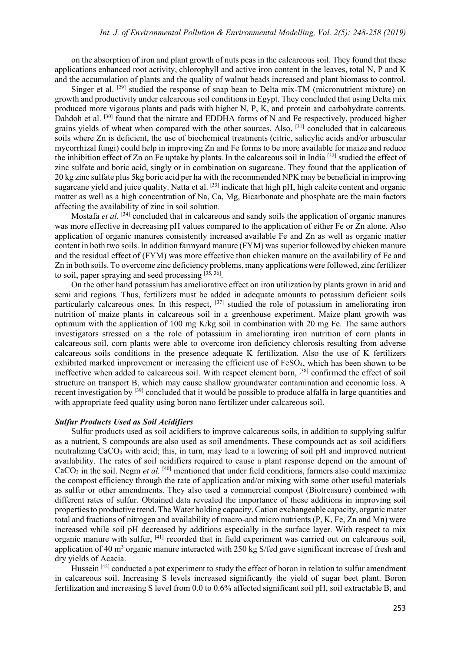on the absorption of iron and plant growth of nuts peas in the calcareous soil. They found that these applications enhanced root activity, chlorophyll and active iron content in the leaves, total N, P and K and the accumulation of plants and the quality of walnut beads increased and plant biomass to control.

Singer et al. <sup>[29]</sup> studied the response of snap bean to Delta mix-TM (micronutrient mixture) on growth and productivity under calcareous soil conditions in Egypt. They concluded that using Delta mix produced more vigorous plants and pads with higher N, P, K, and protein and carbohydrate contents. Dahdoh et al. <sup>[30]</sup> found that the nitrate and EDDHA forms of N and Fe respectively, produced higher grains yields of wheat when compared with the other sources. Also, [31] concluded that in calcareous soils where Zn is deficient, the use of biochemical treatments (citric, salicylic acids and/or arbuscular mycorrhizal fungi) could help in improving Zn and Fe forms to be more available for maize and reduce the inhibition effect of Zn on Fe uptake by plants. In the calcareous soil in India [32] studied the effect of zinc sulfate and boric acid, singly or in combination on sugarcane. They found that the application of 20 kg zinc sulfate plus 5kg boric acid per ha with the recommended NPK may be beneficial in improving sugarcane yield and juice quality. Natta et al. <sup>[33]</sup> indicate that high pH, high calcite content and organic matter as well as a high concentration of Na, Ca, Mg, Bicarbonate and phosphate are the main factors affecting the availability of zinc in soil solution.

Mostafa *et al.* <sup>[34]</sup> concluded that in calcareous and sandy soils the application of organic manures was more effective in decreasing pH values compared to the application of either Fe or Zn alone. Also application of organic manures consistently increased available Fe and Zn as well as organic matter content in both two soils. In addition farmyard manure (FYM) was superior followed by chicken manure and the residual effect of (FYM) was more effective than chicken manure on the availability of Fe and Zn in both soils. To overcome zinc deficiency problems, many applications were followed, zinc fertilizer to soil, paper spraying and seed processing  $[35, 36]$ .

On the other hand potassium has ameliorative effect on iron utilization by plants grown in arid and semi arid regions. Thus, fertilizers must be added in adequate amounts to potassium deficient soils particularly calcareous ones. In this respect, <sup>[37]</sup> studied the role of potassium in ameliorating iron nutrition of maize plants in calcareous soil in a greenhouse experiment. Maize plant growth was optimum with the application of 100 mg K/kg soil in combination with 20 mg Fe. The same authors investigators stressed on a the role of potassium in ameliorating iron nutrition of corn plants in calcareous soil, corn plants were able to overcome iron deficiency chlorosis resulting from adverse calcareous soils conditions in the presence adequate K fertilization. Also the use of K fertilizers exhibited marked improvement or increasing the efficient use of FeSO<sub>4</sub>, which has been shown to be ineffective when added to calcareous soil. With respect element born, <sup>[38]</sup> confirmed the effect of soil structure on transport B, which may cause shallow groundwater contamination and economic loss. A recent investigation by [39] concluded that it would be possible to produce alfalfa in large quantities and with appropriate feed quality using boron nano fertilizer under calcareous soil.

## *Sulfur Products Used as Soil Acidifiers*

Sulfur products used as soil acidifiers to improve calcareous soils, in addition to supplying sulfur as a nutrient, S compounds are also used as soil amendments. These compounds act as soil acidifiers neutralizing  $CaCO<sub>3</sub>$  with acid; this, in turn, may lead to a lowering of soil pH and improved nutrient availability. The rates of soil acidifiers required to cause a plant response depend on the amount of CaCO<sub>3</sub> in the soil. Negm *et al.* [40] mentioned that under field conditions, farmers also could maximize the compost efficiency through the rate of application and/or mixing with some other useful materials as sulfur or other amendments. They also used a commercial compost (Biotreasure) combined with different rates of sulfur. Obtained data revealed the importance of these additions in improving soil properties to productive trend. The Water holding capacity, Cation exchangeable capacity, organic mater total and fractions of nitrogen and availability of macro-and micro nutrients (P, K, Fe, Zn and Mn) were increased while soil pH decreased by additions especially in the surface layer. With respect to mix organic manure with sulfur, [41] recorded that in field experiment was carried out on calcareous soil, application of 40 m<sup>3</sup> organic manure interacted with 250 kg S/fed gave significant increase of fresh and dry yields of Acacia.

Hussein<sup>[42]</sup> conducted a pot experiment to study the effect of boron in relation to sulfur amendment in calcareous soil. Increasing S levels increased significantly the yield of sugar beet plant. Boron fertilization and increasing S level from 0.0 to 0.6% affected significant soil pH, soil extractable B, and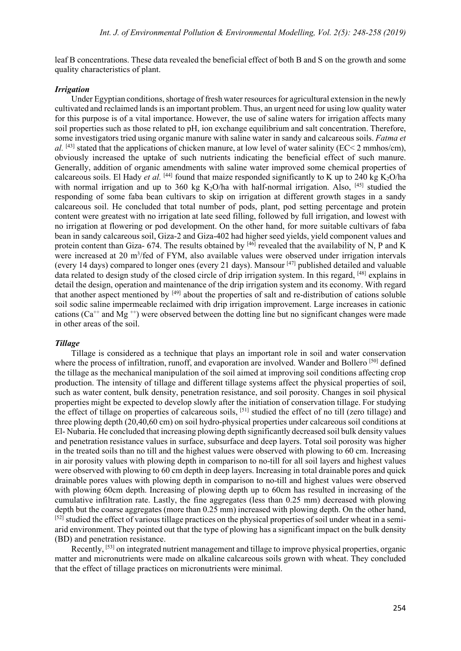leaf B concentrations. These data revealed the beneficial effect of both B and S on the growth and some quality characteristics of plant.

## *Irrigation*

Under Egyptian conditions, shortage of fresh water resources for agricultural extension in the newly cultivated and reclaimed lands is an important problem. Thus, an urgent need for using low quality water for this purpose is of a vital importance. However, the use of saline waters for irrigation affects many soil properties such as those related to pH, ion exchange equilibrium and salt concentration. Therefore, some investigators tried using organic manure with saline water in sandy and calcareous soils. *Fatma et al.* [43] stated that the applications of chicken manure, at low level of water salinity (EC< 2 mmhos/cm), obviously increased the uptake of such nutrients indicating the beneficial effect of such manure. Generally, addition of organic amendments with saline water improved some chemical properties of calcareous soils. El Hady *et al.* [44] found that maize responded significantly to K up to 240 kg K<sub>2</sub>O/ha with normal irrigation and up to 360 kg  $K_2O/ha$  with half-normal irrigation. Also, [45] studied the responding of some faba bean cultivars to skip on irrigation at different growth stages in a sandy calcareous soil. He concluded that total number of pods, plant, pod setting percentage and protein content were greatest with no irrigation at late seed filling, followed by full irrigation, and lowest with no irrigation at flowering or pod development. On the other hand, for more suitable cultivars of faba bean in sandy calcareous soil, Giza-2 and Giza-402 had higher seed yields, yield component values and protein content than Giza-  $674$ . The results obtained by  $[46]$  revealed that the availability of N, P and K were increased at 20 m<sup>3</sup>/fed of FYM, also available values were observed under irrigation intervals (every 14 days) compared to longer ones (every 21 days). Mansour [47] published detailed and valuable data related to design study of the closed circle of drip irrigation system. In this regard, [48] explains in detail the design, operation and maintenance of the drip irrigation system and its economy. With regard that another aspect mentioned by [49] about the properties of salt and re-distribution of cations soluble soil sodic saline impermeable reclaimed with drip irrigation improvement. Large increases in cationic cations ( $Ca^{++}$  and Mg<sup>++</sup>) were observed between the dotting line but no significant changes were made in other areas of the soil.

### *Tillage*

Tillage is considered as a technique that plays an important role in soil and water conservation where the process of infiltration, runoff, and evaporation are involved. Wander and Bollero [50] defined the tillage as the mechanical manipulation of the soil aimed at improving soil conditions affecting crop production. The intensity of tillage and different tillage systems affect the physical properties of soil, such as water content, bulk density, penetration resistance, and soil porosity. Changes in soil physical properties might be expected to develop slowly after the initiation of conservation tillage. For studying the effect of tillage on properties of calcareous soils, [51] studied the effect of no till (zero tillage) and three plowing depth (20,40,60 cm) on soil hydro-physical properties under calcareous soil conditions at El- Nubaria. He concluded that increasing plowing depth significantly decreased soil bulk density values and penetration resistance values in surface, subsurface and deep layers. Total soil porosity was higher in the treated soils than no till and the highest values were observed with plowing to 60 cm. Increasing in air porosity values with plowing depth in comparison to no-till for all soil layers and highest values were observed with plowing to 60 cm depth in deep layers. Increasing in total drainable pores and quick drainable pores values with plowing depth in comparison to no-till and highest values were observed with plowing 60cm depth. Increasing of plowing depth up to 60cm has resulted in increasing of the cumulative infiltration rate. Lastly, the fine aggregates (less than 0.25 mm) decreased with plowing depth but the coarse aggregates (more than 0.25 mm) increased with plowing depth. On the other hand, [52] studied the effect of various tillage practices on the physical properties of soil under wheat in a semiarid environment. They pointed out that the type of plowing has a significant impact on the bulk density (BD) and penetration resistance.

Recently, [53] on integrated nutrient management and tillage to improve physical properties, organic matter and micronutrients were made on alkaline calcareous soils grown with wheat. They concluded that the effect of tillage practices on micronutrients were minimal.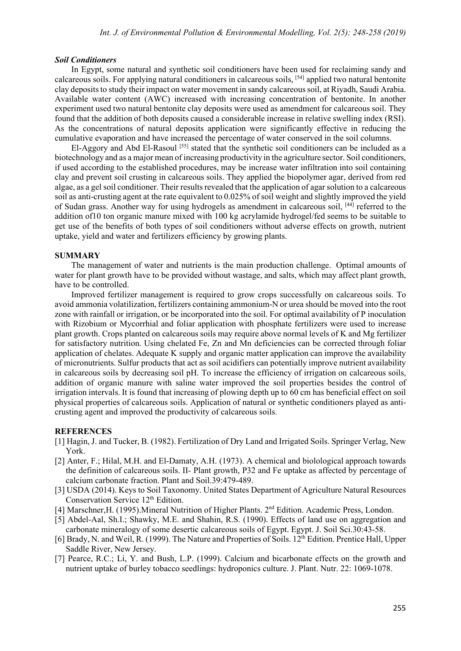#### *Soil Conditioners*

In Egypt, some natural and synthetic soil conditioners have been used for reclaiming sandy and calcareous soils. For applying natural conditioners in calcareous soils, [54] applied two natural bentonite clay deposits to study their impact on water movement in sandy calcareous soil, at Riyadh, Saudi Arabia. Available water content (AWC) increased with increasing concentration of bentonite. In another experiment used two natural bentonite clay deposits were used as amendment for calcareous soil. They found that the addition of both deposits caused a considerable increase in relative swelling index (RSI). As the concentrations of natural deposits application were significantly effective in reducing the cumulative evaporation and have increased the percentage of water conserved in the soil columns.

El-Aggory and Abd El-Rasoul<sup>[55]</sup> stated that the synthetic soil conditioners can be included as a biotechnology and as a major mean of increasing productivity in the agriculture sector. Soil conditioners, if used according to the established procedures, may be increase water infiltration into soil containing clay and prevent soil crusting in calcareous soils. They applied the biopolymer agar, derived from red algae, as a gel soil conditioner. Their results revealed that the application of agar solution to a calcareous soil as anti-crusting agent at the rate equivalent to 0.025% of soil weight and slightly improved the yield of Sudan grass. Another way for using hydrogels as amendment in calcareous soil, [44] referred to the addition of10 ton organic manure mixed with 100 kg acrylamide hydrogel/fed seems to be suitable to get use of the benefits of both types of soil conditioners without adverse effects on growth, nutrient uptake, yield and water and fertilizers efficiency by growing plants.

#### **SUMMARY**

The management of water and nutrients is the main production challenge. Optimal amounts of water for plant growth have to be provided without wastage, and salts, which may affect plant growth, have to be controlled.

Improved fertilizer management is required to grow crops successfully on calcareous soils. To avoid ammonia volatilization, fertilizers containing ammonium-N or urea should be moved into the root zone with rainfall or irrigation, or be incorporated into the soil. For optimal availability of P inoculation with Rizobium or Mycorrhial and foliar application with phosphate fertilizers were used to increase plant growth. Crops planted on calcareous soils may require above normal levels of K and Mg fertilizer for satisfactory nutrition. Using chelated Fe, Zn and Mn deficiencies can be corrected through foliar application of chelates. Adequate K supply and organic matter application can improve the availability of micronutrients. Sulfur products that act as soil acidifiers can potentially improve nutrient availability in calcareous soils by decreasing soil pH. To increase the efficiency of irrigation on calcareous soils, addition of organic manure with saline water improved the soil properties besides the control of irrigation intervals. It is found that increasing of plowing depth up to 60 cm has beneficial effect on soil physical properties of calcareous soils. Application of natural or synthetic conditioners played as anticrusting agent and improved the productivity of calcareous soils.

#### **REFERENCES**

- [1] Hagin, J. and Tucker, B. (1982). Fertilization of Dry Land and Irrigated Soils. Springer Verlag, New York.
- [2] Anter, F.; Hilal, M.H. and El-Damaty, A.H. (1973). A chemical and biolological approach towards the definition of calcareous soils. II- Plant growth, P32 and Fe uptake as affected by percentage of calcium carbonate fraction. Plant and Soil.39:479-489.
- [3] USDA (2014). Keys to Soil Taxonomy. United States Department of Agriculture Natural Resources Conservation Service 12<sup>th</sup> Edition.
- [4] Marschner,H. (1995).Mineral Nutrition of Higher Plants. 2nd Edition. Academic Press, London.
- [5] Abdel-Aal, Sh.I.; Shawky, M.E. and Shahin, R.S. (1990). Effects of land use on aggregation and carbonate mineralogy of some desertic calcareous soils of Egypt. Egypt. J. Soil Sci.30:43-58.
- [6] Brady, N. and Weil, R. (1999). The Nature and Properties of Soils.  $12<sup>th</sup>$  Edition. Prentice Hall, Upper Saddle River, New Jersey.
- [7] Pearce, R.C.; Li, Y. and Bush, L.P. (1999). Calcium and bicarbonate effects on the growth and nutrient uptake of burley tobacco seedlings: hydroponics culture. J. Plant. Nutr. 22: 1069-1078.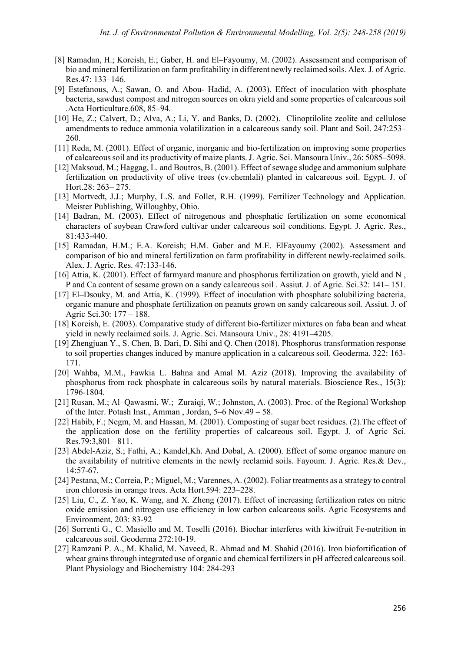- [8] Ramadan, H.; Koreish, E.; Gaber, H. and El–Fayoumy, M. (2002). Assessment and comparison of bio and mineral fertilization on farm profitability in different newly reclaimed soils. Alex. J. of Agric. Res.47: 133–146.
- [9] Estefanous, A.; Sawan, O. and Abou- Hadid, A. (2003). Effect of inoculation with phosphate bacteria, sawdust compost and nitrogen sources on okra yield and some properties of calcareous soil .Acta Horticulture.608, 85–94.
- [10] He, Z.; Calvert, D.; Alva, A.; Li, Y. and Banks, D. (2002). Clinoptilolite zeolite and cellulose amendments to reduce ammonia volatilization in a calcareous sandy soil. Plant and Soil. 247:253– 260.
- [11] Reda, M. (2001). Effect of organic, inorganic and bio-fertilization on improving some properties of calcareous soil and its productivity of maize plants. J. Agric. Sci. Mansoura Univ., 26: 5085–5098.
- [12] Maksoud, M.; Haggag, L. and Boutros, B. (2001). Effect of sewage sludge and ammonium sulphate fertilization on productivity of olive trees (cv.chemlali) planted in calcareous soil. Egypt. J. of Hort.28: 263– 275.
- [13] Mortvedt, J.J.; Murphy, L.S. and Follet, R.H. (1999). Fertilizer Technology and Application. Meister Publishing, Willoughby, Ohio.
- [14] Badran, M. (2003). Effect of nitrogenous and phosphatic fertilization on some economical characters of soybean Crawford cultivar under calcareous soil conditions. Egypt. J. Agric. Res., 81:433-440.
- [15] Ramadan, H.M.; E.A. Koreish; H.M. Gaber and M.E. ElFayoumy (2002). Assessment and comparison of bio and mineral fertilization on farm profitability in different newly-reclaimed soils. Alex. J. Agric. Res. 47:133-146.
- [16] Attia, K. (2001). Effect of farmyard manure and phosphorus fertilization on growth, yield and N , P and Ca content of sesame grown on a sandy calcareous soil . Assiut. J. of Agric. Sci.32: 141– 151.
- [17] El–Dsouky, M. and Attia, K. (1999). Effect of inoculation with phosphate solubilizing bacteria, organic manure and phosphate fertilization on peanuts grown on sandy calcareous soil. Assiut. J. of Agric Sci.30: 177 – 188.
- [18] Koreish, E. (2003). Comparative study of different bio-fertilizer mixtures on faba bean and wheat yield in newly reclaimed soils. J. Agric. Sci. Mansoura Univ., 28: 4191–4205.
- [19] Zhengjuan Y., S. Chen, B. Dari, D. Sihi and Q. Chen (2018). Phosphorus transformation response to soil properties changes induced by manure application in a calcareous soil. Geoderma. 322: 163- 171.
- [20] Wahba, M.M., Fawkia L. Bahna and Amal M. Aziz (2018). Improving the availability of phosphorus from rock phosphate in calcareous soils by natural materials. Bioscience Res., 15(3): 1796-1804.
- [21] Rusan, M.; Al–Qawasmi, W.; Zuraiqi, W.; Johnston, A. (2003). Proc. of the Regional Workshop of the Inter. Potash Inst., Amman , Jordan, 5–6 Nov.49 – 58.
- [22] Habib, F.; Negm, M. and Hassan, M. (2001). Composting of sugar beet residues. (2).The effect of the application dose on the fertility properties of calcareous soil. Egypt. J. of Agric Sci. Res.79:3,801– 811.
- [23] Abdel-Aziz, S.; Fathi, A.; Kandel,Kh. And Dobal, A. (2000). Effect of some organoc manure on the availability of nutritive elements in the newly reclamid soils. Fayoum. J. Agric. Res.& Dev., 14:57-67.
- [24] Pestana, M.; Correia, P.; Miguel, M.; Varennes, A. (2002). Foliar treatments as a strategy to control iron chlorosis in orange trees. Acta Hort.594: 223–228.
- [25] Liu, C., Z. Yao, K. Wang, and X. Zheng (2017). Effect of increasing fertilization rates on nitric oxide emission and nitrogen use efficiency in low carbon calcareous soils. Agric Ecosystems and Environment, 203: 83-92
- [26] Sorrenti G., C. Masiello and M. Toselli (2016). Biochar interferes with kiwifruit Fe-nutrition in calcareous soil. Geoderma 272:10-19.
- [27] Ramzani P. A., M. Khalid, M. Naveed, R. Ahmad and M. Shahid (2016). Iron biofortification of wheat grains through integrated use of organic and chemical fertilizers in pH affected calcareous soil. Plant Physiology and Biochemistry 104: 284-293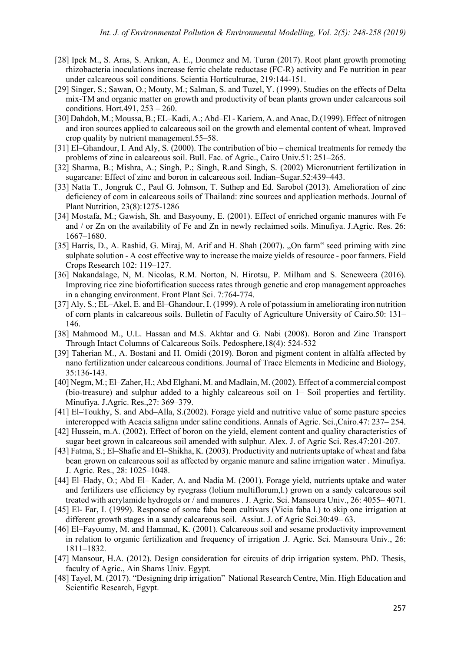- [28] Ipek M., S. Aras, S. Arıkan, A. E., Donmez and M. Turan (2017). Root plant growth promoting rhizobacteria inoculations increase ferric chelate reductase (FC-R) activity and Fe nutrition in pear under calcareous soil conditions. Scientia Horticulturae, 219:144-151.
- [29] Singer, S.; Sawan, O.; Mouty, M.; Salman, S. and Tuzel, Y. (1999). Studies on the effects of Delta mix-TM and organic matter on growth and productivity of bean plants grown under calcareous soil conditions. Hort.491, 253 – 260.
- [30] Dahdoh, M.; Moussa, B.; EL–Kadi, A.; Abd–El Kariem, A. and Anac, D.(1999). Effect of nitrogen and iron sources applied to calcareous soil on the growth and elemental content of wheat. Improved crop quality by nutrient management.55–58.
- [31] El–Ghandour, I. And Aly, S. (2000). The contribution of bio chemical treatments for remedy the problems of zinc in calcareous soil. Bull. Fac. of Agric., Cairo Univ.51: 251–265.
- [32] Sharma, B.; Mishra, A.; Singh, P.; Singh, R.and Singh, S. (2002) Micronutrient fertilization in sugarcane: Effect of zinc and boron in calcareous soil. Indian–Sugar.52:439–443.
- [33] Natta T., Jongruk C., Paul G. Johnson, T. Suthep and Ed. Sarobol (2013). Amelioration of zinc deficiency of corn in calcareous soils of Thailand: zinc sources and application methods. Journal of Plant Nutrition, 23(8):1275-1286
- [34] Mostafa, M.; Gawish, Sh. and Basyouny, E. (2001). Effect of enriched organic manures with Fe and / or Zn on the availability of Fe and Zn in newly reclaimed soils. Minufiya. J.Agric. Res. 26: 1667–1680.
- [35] Harris, D., A. Rashid, G. Miraj, M. Arif and H. Shah (2007). "On farm" seed priming with zinc sulphate solution - A cost effective way to increase the maize yields of resource - poor farmers. Field Crops Research 102: 119–127.
- [36] Nakandalage, N, M. Nicolas, R.M. Norton, N. Hirotsu, P. Milham and S. Seneweera (2016). Improving rice zinc biofortification success rates through genetic and crop management approaches in a changing environment. Front Plant Sci. 7:764-774.
- [37] Aly, S.; EL–Akel, E. and El–Ghandour, I. (1999). A role of potassium in ameliorating iron nutrition of corn plants in calcareous soils. Bulletin of Faculty of Agriculture University of Cairo.50: 131– 146.
- [38] Mahmood M., U.L. Hassan and M.S. Akhtar and G. Nabi (2008). Boron and Zinc Transport Through Intact Columns of Calcareous Soils. Pedosphere,18(4): 524-532
- [39] Taherian M., A. Bostani and H. Omidi (2019). Boron and pigment content in alfalfa affected by nano fertilization under calcareous conditions. Journal of Trace Elements in Medicine and Biology, 35:136-143.
- [40] Negm, M.; El–Zaher, H.; Abd Elghani, M. and Madlain, M. (2002). Effect of a commercial compost (bio-treasure) and sulphur added to a highly calcareous soil on 1– Soil properties and fertility. Minufiya. J.Agric. Res.,27: 369–379.
- [41] El–Toukhy, S. and Abd–Alla, S.(2002). Forage yield and nutritive value of some pasture species intercropped with Acacia saligna under saline conditions. Annals of Agric. Sci.,Cairo.47: 237– 254.
- [42] Hussein, m.A. (2002). Effect of boron on the yield, element content and quality characteristics of sugar beet grown in calcareous soil amended with sulphur. Alex. J. of Agric Sci. Res.47:201-207.
- [43] Fatma, S.; El–Shafie and El–Shikha, K. (2003). Productivity and nutrients uptake of wheat and faba bean grown on calcareous soil as affected by organic manure and saline irrigation water . Minufiya. J. Agric. Res., 28: 1025–1048.
- [44] El–Hady, O.; Abd El– Kader, A. and Nadia M. (2001). Forage yield, nutrients uptake and water and fertilizers use efficiency by ryegrass (lolium multiflorum,l.) grown on a sandy calcareous soil treated with acrylamide hydrogels or / and manures . J. Agric. Sci. Mansoura Univ., 26: 4055– 4071.
- [45] El- Far, I. (1999). Response of some faba bean cultivars (Vicia faba l.) to skip one irrigation at different growth stages in a sandy calcareous soil. Assiut. J. of Agric Sci.30:49– 63.
- [46] El–Fayoumy, M. and Hammad, K. (2001). Calcareous soil and sesame productivity improvement in relation to organic fertilization and frequency of irrigation .J. Agric. Sci. Mansoura Univ., 26: 1811–1832.
- [47] Mansour, H.A. (2012). Design consideration for circuits of drip irrigation system. PhD. Thesis, faculty of Agric., Ain Shams Univ. Egypt.
- [48] Tayel, M. (2017). "Designing drip irrigation" National Research Centre, Min. High Education and Scientific Research, Egypt.